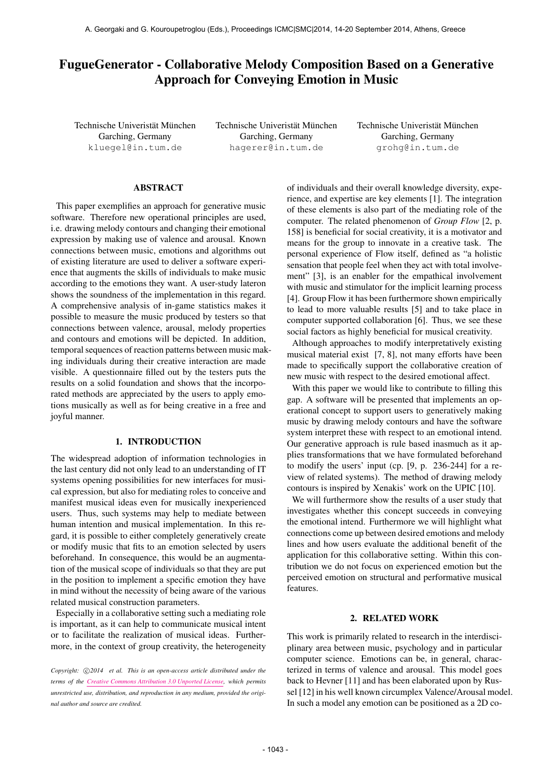# FugueGenerator - Collaborative Melody Composition Based on a Generative Approach for Conveying Emotion in Music

Technische Univeristät München Garching, Germany [kluegel@in.tum.de](mailto:kluegel@in.tum.de)

Technische Univeristät München Garching, Germany [hagerer@in.tum.de](mailto:hagerer@in.tum.de)

Technische Univeristät München Garching, Germany [grohg@in.tum.de](mailto:grohg@in.tum.de)

# ABSTRACT

This paper exemplifies an approach for generative music software. Therefore new operational principles are used, i.e. drawing melody contours and changing their emotional expression by making use of valence and arousal. Known connections between music, emotions and algorithms out of existing literature are used to deliver a software experience that augments the skills of individuals to make music according to the emotions they want. A user-study lateron shows the soundness of the implementation in this regard. A comprehensive analysis of in-game statistics makes it possible to measure the music produced by testers so that connections between valence, arousal, melody properties and contours and emotions will be depicted. In addition, temporal sequences of reaction patterns between music making individuals during their creative interaction are made visible. A questionnaire filled out by the testers puts the results on a solid foundation and shows that the incorporated methods are appreciated by the users to apply emotions musically as well as for being creative in a free and joyful manner.

## 1. INTRODUCTION

The widespread adoption of information technologies in the last century did not only lead to an understanding of IT systems opening possibilities for new interfaces for musical expression, but also for mediating roles to conceive and manifest musical ideas even for musically inexperienced users. Thus, such systems may help to mediate between human intention and musical implementation. In this regard, it is possible to either completely generatively create or modify music that fits to an emotion selected by users beforehand. In consequence, this would be an augmentation of the musical scope of individuals so that they are put in the position to implement a specific emotion they have in mind without the necessity of being aware of the various related musical construction parameters.

Especially in a collaborative setting such a mediating role is important, as it can help to communicate musical intent or to facilitate the realization of musical ideas. Furthermore, in the context of group creativity, the heterogeneity of individuals and their overall knowledge diversity, experience, and expertise are key elements [1]. The integration of these elements is also part of the mediating role of the computer. The related phenomenon of *Group Flow* [2, p. 158] is beneficial for social creativity, it is a motivator and means for the group to innovate in a creative task. The personal experience of Flow itself, defined as "a holistic sensation that people feel when they act with total involvement" [3], is an enabler for the empathical involvement with music and stimulator for the implicit learning process [4]. Group Flow it has been furthermore shown empirically to lead to more valuable results [5] and to take place in computer supported collaboration [6]. Thus, we see these social factors as highly beneficial for musical creativity.

Although approaches to modify interpretatively existing musical material exist [7, 8], not many efforts have been made to specifically support the collaborative creation of new music with respect to the desired emotional affect.

With this paper we would like to contribute to filling this gap. A software will be presented that implements an operational concept to support users to generatively making music by drawing melody contours and have the software system interpret these with respect to an emotional intend. Our generative approach is rule based inasmuch as it applies transformations that we have formulated beforehand to modify the users' input (cp. [9, p. 236-244] for a review of related systems). The method of drawing melody contours is inspired by Xenakis' work on the UPIC [10].

We will furthermore show the results of a user study that investigates whether this concept succeeds in conveying the emotional intend. Furthermore we will highlight what connections come up between desired emotions and melody lines and how users evaluate the additional benefit of the application for this collaborative setting. Within this contribution we do not focus on experienced emotion but the perceived emotion on structural and performative musical features.

#### 2. RELATED WORK

This work is primarily related to research in the interdisciplinary area between music, psychology and in particular computer science. Emotions can be, in general, characterized in terms of valence and arousal. This model goes back to Hevner [11] and has been elaborated upon by Russel [12] in his well known circumplex Valence/Arousal model. In such a model any emotion can be positioned as a 2D co-

*Copyright:*  $\bigcirc$  *C* $2014$  *et al. This is an open-access article distributed under the terms of the [Creative Commons Attribution 3.0 Unported License,](http://creativecommons.org/licenses/by/3.0/) which permits unrestricted use, distribution, and reproduction in any medium, provided the original author and source are credited.*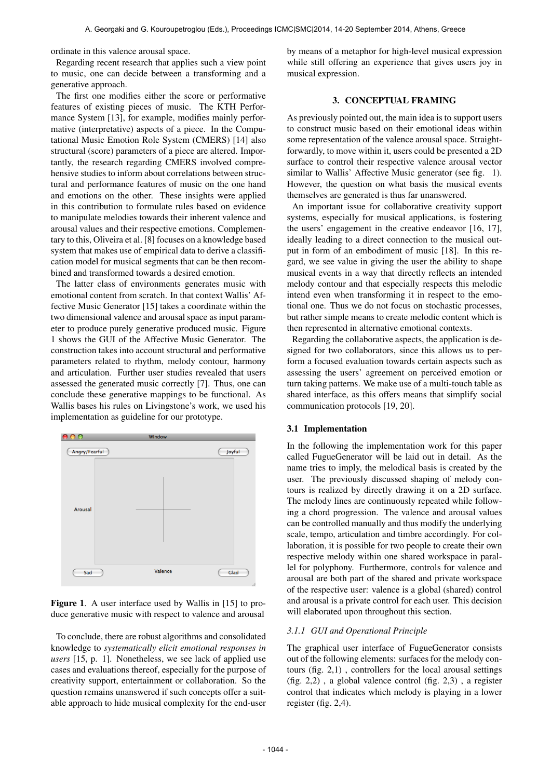ordinate in this valence arousal space.

Regarding recent research that applies such a view point to music, one can decide between a transforming and a generative approach.

The first one modifies either the score or performative features of existing pieces of music. The KTH Performance System [13], for example, modifies mainly performative (interpretative) aspects of a piece. In the Computational Music Emotion Role System (CMERS) [14] also structural (score) parameters of a piece are altered. Importantly, the research regarding CMERS involved comprehensive studies to inform about correlations between structural and performance features of music on the one hand and emotions on the other. These insights were applied in this contribution to formulate rules based on evidence to manipulate melodies towards their inherent valence and arousal values and their respective emotions. Complementary to this, Oliveira et al. [8] focuses on a knowledge based system that makes use of empirical data to derive a classification model for musical segments that can be then recombined and transformed towards a desired emotion.

The latter class of environments generates music with emotional content from scratch. In that context Wallis' Affective Music Generator [15] takes a coordinate within the two dimensional valence and arousal space as input parameter to produce purely generative produced music. Figure 1 shows the GUI of the Affective Music Generator. The construction takes into account structural and performative parameters related to rhythm, melody contour, harmony and articulation. Further user studies revealed that users assessed the generated music correctly [7]. Thus, one can conclude these generative mappings to be functional. As Wallis bases his rules on Livingstone's work, we used his implementation as guideline for our prototype.





To conclude, there are robust algorithms and consolidated knowledge to *systematically elicit emotional responses in users* [15, p. 1]. Nonetheless, we see lack of applied use cases and evaluations thereof, especially for the purpose of creativity support, entertainment or collaboration. So the question remains unanswered if such concepts offer a suitable approach to hide musical complexity for the end-user

by means of a metaphor for high-level musical expression while still offering an experience that gives users joy in musical expression.

#### 3. CONCEPTUAL FRAMING

As previously pointed out, the main idea is to support users to construct music based on their emotional ideas within some representation of the valence arousal space. Straightforwardly, to move within it, users could be presented a 2D surface to control their respective valence arousal vector similar to Wallis' Affective Music generator (see fig. 1). However, the question on what basis the musical events themselves are generated is thus far unanswered.

An important issue for collaborative creativity support systems, especially for musical applications, is fostering the users' engagement in the creative endeavor [16, 17], ideally leading to a direct connection to the musical output in form of an embodiment of music [18]. In this regard, we see value in giving the user the ability to shape musical events in a way that directly reflects an intended melody contour and that especially respects this melodic intend even when transforming it in respect to the emotional one. Thus we do not focus on stochastic processes, but rather simple means to create melodic content which is then represented in alternative emotional contexts.

Regarding the collaborative aspects, the application is designed for two collaborators, since this allows us to perform a focused evaluation towards certain aspects such as assessing the users' agreement on perceived emotion or turn taking patterns. We make use of a multi-touch table as shared interface, as this offers means that simplify social communication protocols [19, 20].

#### 3.1 Implementation

In the following the implementation work for this paper called FugueGenerator will be laid out in detail. As the name tries to imply, the melodical basis is created by the user. The previously discussed shaping of melody contours is realized by directly drawing it on a 2D surface. The melody lines are continuously repeated while following a chord progression. The valence and arousal values can be controlled manually and thus modify the underlying scale, tempo, articulation and timbre accordingly. For collaboration, it is possible for two people to create their own respective melody within one shared workspace in parallel for polyphony. Furthermore, controls for valence and arousal are both part of the shared and private workspace of the respective user: valence is a global (shared) control and arousal is a private control for each user. This decision will elaborated upon throughout this section.

#### *3.1.1 GUI and Operational Principle*

The graphical user interface of FugueGenerator consists out of the following elements: surfaces for the melody contours (fig. 2,1) , controllers for the local arousal settings (fig. 2,2) , a global valence control (fig. 2,3) , a register control that indicates which melody is playing in a lower register (fig. 2,4).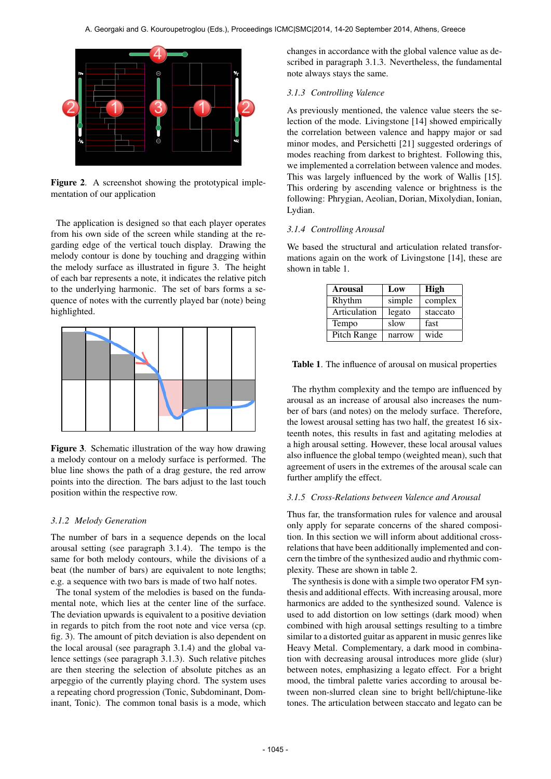

Figure 2. A screenshot showing the prototypical implementation of our application

The application is designed so that each player operates from his own side of the screen while standing at the regarding edge of the vertical touch display. Drawing the melody contour is done by touching and dragging within the melody surface as illustrated in figure 3. The height of each bar represents a note, it indicates the relative pitch to the underlying harmonic. The set of bars forms a sequence of notes with the currently played bar (note) being highlighted.



Figure 3. Schematic illustration of the way how drawing a melody contour on a melody surface is performed. The blue line shows the path of a drag gesture, the red arrow points into the direction. The bars adjust to the last touch position within the respective row.

## *3.1.2 Melody Generation*

The number of bars in a sequence depends on the local arousal setting (see paragraph 3.1.4). The tempo is the same for both melody contours, while the divisions of a beat (the number of bars) are equivalent to note lengths; e.g. a sequence with two bars is made of two half notes.

The tonal system of the melodies is based on the fundamental note, which lies at the center line of the surface. The deviation upwards is equivalent to a positive deviation in regards to pitch from the root note and vice versa (cp. fig. 3). The amount of pitch deviation is also dependent on the local arousal (see paragraph 3.1.4) and the global valence settings (see paragraph 3.1.3). Such relative pitches are then steering the selection of absolute pitches as an arpeggio of the currently playing chord. The system uses a repeating chord progression (Tonic, Subdominant, Dominant, Tonic). The common tonal basis is a mode, which changes in accordance with the global valence value as described in paragraph 3.1.3. Nevertheless, the fundamental note always stays the same.

#### *3.1.3 Controlling Valence*

As previously mentioned, the valence value steers the selection of the mode. Livingstone [14] showed empirically the correlation between valence and happy major or sad minor modes, and Persichetti [21] suggested orderings of modes reaching from darkest to brightest. Following this, we implemented a correlation between valence and modes. This was largely influenced by the work of Wallis [15]. This ordering by ascending valence or brightness is the following: Phrygian, Aeolian, Dorian, Mixolydian, Ionian, Lydian.

## *3.1.4 Controlling Arousal*

We based the structural and articulation related transformations again on the work of Livingstone [14], these are shown in table 1.

| <b>Arousal</b> | Low    | High     |
|----------------|--------|----------|
| Rhythm         | simple | complex  |
| Articulation   | legato | staccato |
| Tempo          | slow   | fast     |
| Pitch Range    | narrow | wide     |

Table 1. The influence of arousal on musical properties

The rhythm complexity and the tempo are influenced by arousal as an increase of arousal also increases the number of bars (and notes) on the melody surface. Therefore, the lowest arousal setting has two half, the greatest 16 sixteenth notes, this results in fast and agitating melodies at a high arousal setting. However, these local arousal values also influence the global tempo (weighted mean), such that agreement of users in the extremes of the arousal scale can further amplify the effect.

#### *3.1.5 Cross-Relations between Valence and Arousal*

Thus far, the transformation rules for valence and arousal only apply for separate concerns of the shared composition. In this section we will inform about additional crossrelations that have been additionally implemented and concern the timbre of the synthesized audio and rhythmic complexity. These are shown in table 2.

The synthesis is done with a simple two operator FM synthesis and additional effects. With increasing arousal, more harmonics are added to the synthesized sound. Valence is used to add distortion on low settings (dark mood) when combined with high arousal settings resulting to a timbre similar to a distorted guitar as apparent in music genres like Heavy Metal. Complementary, a dark mood in combination with decreasing arousal introduces more glide (slur) between notes, emphasizing a legato effect. For a bright mood, the timbral palette varies according to arousal between non-slurred clean sine to bright bell/chiptune-like tones. The articulation between staccato and legato can be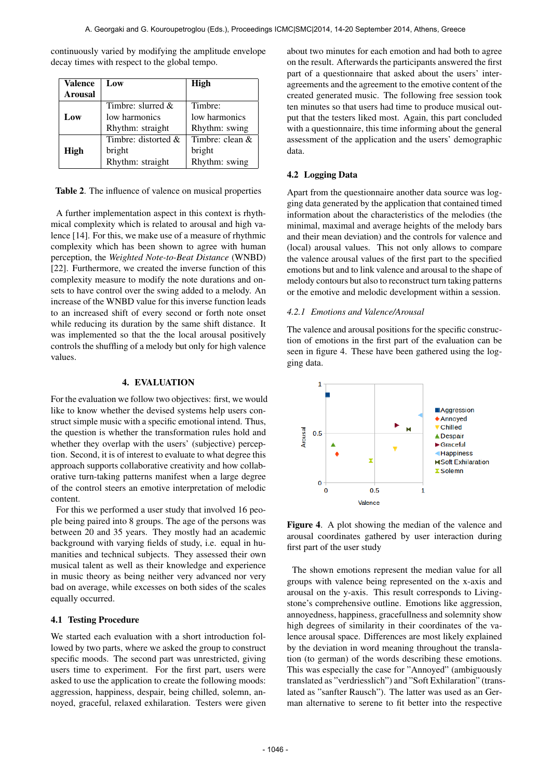| <b>Valence</b><br><b>Arousal</b> | Low                    | High              |
|----------------------------------|------------------------|-------------------|
|                                  | Timbre: slurred $\&$   | Timbre:           |
| Low                              | low harmonics          | low harmonics     |
|                                  | Rhythm: straight       | Rhythm: swing     |
|                                  | Timbre: distorted $\&$ | Timbre: clean $&$ |
| High                             | bright                 | bright            |
|                                  | Rhythm: straight       | Rhythm: swing     |

continuously varied by modifying the amplitude envelope decay times with respect to the global tempo.

Table 2. The influence of valence on musical properties

A further implementation aspect in this context is rhythmical complexity which is related to arousal and high valence [14]. For this, we make use of a measure of rhythmic complexity which has been shown to agree with human perception, the *Weighted Note-to-Beat Distance* (WNBD) [22]. Furthermore, we created the inverse function of this complexity measure to modify the note durations and onsets to have control over the swing added to a melody. An increase of the WNBD value for this inverse function leads to an increased shift of every second or forth note onset while reducing its duration by the same shift distance. It was implemented so that the the local arousal positively controls the shuffling of a melody but only for high valence values.

## 4. EVALUATION

For the evaluation we follow two objectives: first, we would like to know whether the devised systems help users construct simple music with a specific emotional intend. Thus, the question is whether the transformation rules hold and whether they overlap with the users' (subjective) perception. Second, it is of interest to evaluate to what degree this approach supports collaborative creativity and how collaborative turn-taking patterns manifest when a large degree of the control steers an emotive interpretation of melodic content.

For this we performed a user study that involved 16 people being paired into 8 groups. The age of the persons was between 20 and 35 years. They mostly had an academic background with varying fields of study, i.e. equal in humanities and technical subjects. They assessed their own musical talent as well as their knowledge and experience in music theory as being neither very advanced nor very bad on average, while excesses on both sides of the scales equally occurred.

#### 4.1 Testing Procedure

We started each evaluation with a short introduction followed by two parts, where we asked the group to construct specific moods. The second part was unrestricted, giving users time to experiment. For the first part, users were asked to use the application to create the following moods: aggression, happiness, despair, being chilled, solemn, annoyed, graceful, relaxed exhilaration. Testers were given about two minutes for each emotion and had both to agree on the result. Afterwards the participants answered the first part of a questionnaire that asked about the users' interagreements and the agreement to the emotive content of the created generated music. The following free session took ten minutes so that users had time to produce musical output that the testers liked most. Again, this part concluded with a questionnaire, this time informing about the general assessment of the application and the users' demographic data.

## 4.2 Logging Data

Apart from the questionnaire another data source was logging data generated by the application that contained timed information about the characteristics of the melodies (the minimal, maximal and average heights of the melody bars and their mean deviation) and the controls for valence and (local) arousal values. This not only allows to compare the valence arousal values of the first part to the specified emotions but and to link valence and arousal to the shape of melody contours but also to reconstruct turn taking patterns or the emotive and melodic development within a session.

#### *4.2.1 Emotions and Valence/Arousal*

The valence and arousal positions for the specific construction of emotions in the first part of the evaluation can be seen in figure 4. These have been gathered using the logging data.



Figure 4. A plot showing the median of the valence and arousal coordinates gathered by user interaction during first part of the user study

The shown emotions represent the median value for all groups with valence being represented on the x-axis and arousal on the y-axis. This result corresponds to Livingstone's comprehensive outline. Emotions like aggression, annoyedness, happiness, gracefullness and solemnity show high degrees of similarity in their coordinates of the valence arousal space. Differences are most likely explained by the deviation in word meaning throughout the translation (to german) of the words describing these emotions. This was especially the case for "Annoyed" (ambiguously translated as "verdriesslich") and "Soft Exhilaration" (translated as "sanfter Rausch"). The latter was used as an German alternative to serene to fit better into the respective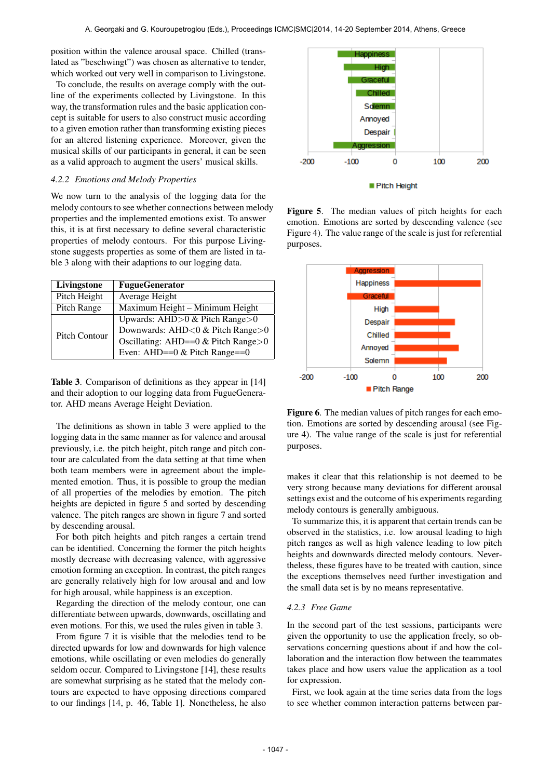position within the valence arousal space. Chilled (translated as "beschwingt") was chosen as alternative to tender, which worked out very well in comparison to Livingstone.

To conclude, the results on average comply with the outline of the experiments collected by Livingstone. In this way, the transformation rules and the basic application concept is suitable for users to also construct music according to a given emotion rather than transforming existing pieces for an altered listening experience. Moreover, given the musical skills of our participants in general, it can be seen as a valid approach to augment the users' musical skills.

# *4.2.2 Emotions and Melody Properties*

We now turn to the analysis of the logging data for the melody contours to see whether connections between melody properties and the implemented emotions exist. To answer this, it is at first necessary to define several characteristic properties of melody contours. For this purpose Livingstone suggests properties as some of them are listed in table 3 along with their adaptions to our logging data.

| Livingstone   | <b>FugueGenerator</b>                |
|---------------|--------------------------------------|
| Pitch Height  | Average Height                       |
| Pitch Range   | Maximum Height - Minimum Height      |
| Pitch Contour | Upwards: AHD $>0$ & Pitch Range $>0$ |
|               | Downwards: AHD<0 & Pitch Range>0     |
|               | Oscillating: AHD==0 & Pitch Range>0  |
|               | Even: AHD== $0 &$ Pitch Range= $=0$  |

Table 3. Comparison of definitions as they appear in [14] and their adoption to our logging data from FugueGenerator. AHD means Average Height Deviation.

The definitions as shown in table 3 were applied to the logging data in the same manner as for valence and arousal previously, i.e. the pitch height, pitch range and pitch contour are calculated from the data setting at that time when both team members were in agreement about the implemented emotion. Thus, it is possible to group the median of all properties of the melodies by emotion. The pitch heights are depicted in figure 5 and sorted by descending valence. The pitch ranges are shown in figure 7 and sorted by descending arousal.

For both pitch heights and pitch ranges a certain trend can be identified. Concerning the former the pitch heights mostly decrease with decreasing valence, with aggressive emotion forming an exception. In contrast, the pitch ranges are generally relatively high for low arousal and and low for high arousal, while happiness is an exception.

Regarding the direction of the melody contour, one can differentiate between upwards, downwards, oscillating and even motions. For this, we used the rules given in table 3.

From figure 7 it is visible that the melodies tend to be directed upwards for low and downwards for high valence emotions, while oscillating or even melodies do generally seldom occur. Compared to Livingstone [14], these results are somewhat surprising as he stated that the melody contours are expected to have opposing directions compared to our findings [14, p. 46, Table 1]. Nonetheless, he also



Figure 5. The median values of pitch heights for each emotion. Emotions are sorted by descending valence (see Figure 4). The value range of the scale is just for referential purposes.



Figure 6. The median values of pitch ranges for each emotion. Emotions are sorted by descending arousal (see Figure 4). The value range of the scale is just for referential purposes.

makes it clear that this relationship is not deemed to be very strong because many deviations for different arousal settings exist and the outcome of his experiments regarding melody contours is generally ambiguous.

To summarize this, it is apparent that certain trends can be observed in the statistics, i.e. low arousal leading to high pitch ranges as well as high valence leading to low pitch heights and downwards directed melody contours. Nevertheless, these figures have to be treated with caution, since the exceptions themselves need further investigation and the small data set is by no means representative.

## *4.2.3 Free Game*

In the second part of the test sessions, participants were given the opportunity to use the application freely, so observations concerning questions about if and how the collaboration and the interaction flow between the teammates takes place and how users value the application as a tool for expression.

First, we look again at the time series data from the logs to see whether common interaction patterns between par-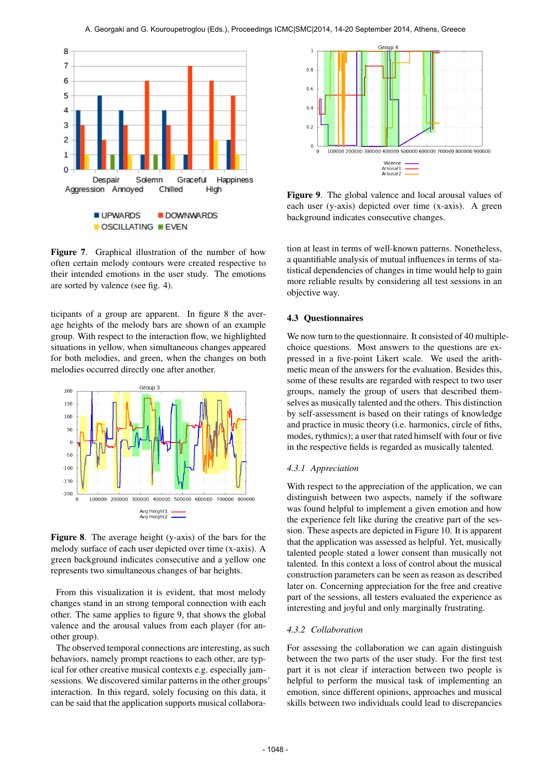

Figure 7. Graphical illustration of the number of how often certain melody contours were created respective to their intended emotions in the user study. The emotions are sorted by valence (see fig. 4).

ticipants of a group are apparent. In figure 8 the average heights of the melody bars are shown of an example group. With respect to the interaction flow, we highlighted situations in yellow, when simultaneous changes appeared for both melodies, and green, when the changes on both melodies occurred directly one after another.



Figure 8. The average height (y-axis) of the bars for the melody surface of each user depicted over time (x-axis). A green background indicates consecutive and a yellow one represents two simultaneous changes of bar heights.

From this visualization it is evident, that most melody changes stand in an strong temporal connection with each other. The same applies to figure 9, that shows the global valence and the arousal values from each player (for another group).

The observed temporal connections are interesting, as such behaviors, namely prompt reactions to each other, are typical for other creative musical contexts e.g. especially jamsessions. We discovered similar patterns in the other groups' interaction. In this regard, solely focusing on this data, it can be said that the application supports musical collabora-



Figure 9. The global valence and local arousal values of each user (y-axis) depicted over time (x-axis). A green background indicates consecutive changes.

tion at least in terms of well-known patterns. Nonetheless, a quantifiable analysis of mutual influences in terms of statistical dependencies of changes in time would help to gain more reliable results by considering all test sessions in an objective way.

## 4.3 Questionnaires

We now turn to the questionnaire. It consisted of 40 multiplechoice questions. Most answers to the questions are expressed in a five-point Likert scale. We used the arithmetic mean of the answers for the evaluation. Besides this, some of these results are regarded with respect to two user groups, namely the group of users that described themselves as musically talented and the others. This distinction by self-assessment is based on their ratings of knowledge and practice in music theory (i.e. harmonics, circle of fiths, modes, rythmics); a user that rated himself with four or five in the respective fields is regarded as musically talented.

#### *4.3.1 Appreciation*

With respect to the appreciation of the application, we can distinguish between two aspects, namely if the software was found helpful to implement a given emotion and how the experience felt like during the creative part of the session. These aspects are depicted in Figure 10. It is apparent that the application was assessed as helpful. Yet, musically talented people stated a lower consent than musically not talented. In this context a loss of control about the musical construction parameters can be seen as reason as described later on. Concerning appreciation for the free and creative part of the sessions, all testers evaluated the experience as interesting and joyful and only marginally frustrating.

#### *4.3.2 Collaboration*

For assessing the collaboration we can again distinguish between the two parts of the user study. For the first test part it is not clear if interaction between two people is helpful to perform the musical task of implementing an emotion, since different opinions, approaches and musical skills between two individuals could lead to discrepancies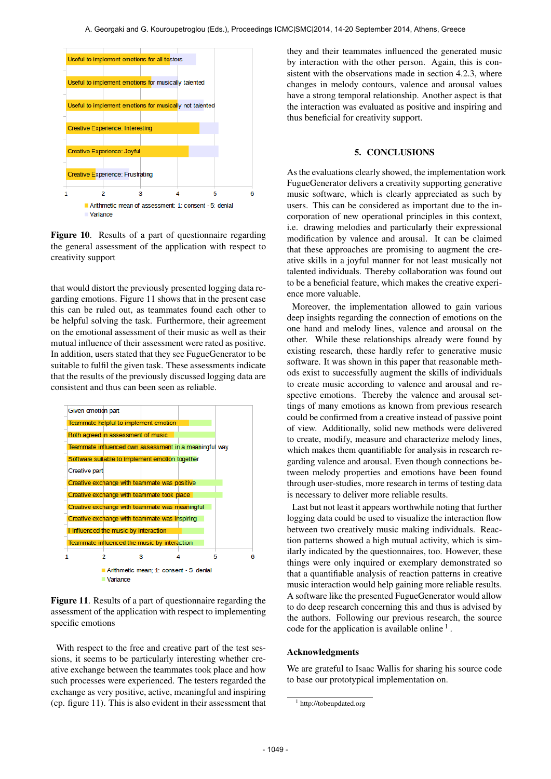

Figure 10. Results of a part of questionnaire regarding the general assessment of the application with respect to creativity support

that would distort the previously presented logging data regarding emotions. Figure 11 shows that in the present case this can be ruled out, as teammates found each other to be helpful solving the task. Furthermore, their agreement on the emotional assessment of their music as well as their mutual influence of their assessment were rated as positive. In addition, users stated that they see FugueGenerator to be suitable to fulfil the given task. These assessments indicate that the results of the previously discussed logging data are consistent and thus can been seen as reliable.



Figure 11. Results of a part of questionnaire regarding the assessment of the application with respect to implementing specific emotions

With respect to the free and creative part of the test sessions, it seems to be particularly interesting whether creative exchange between the teammates took place and how such processes were experienced. The testers regarded the exchange as very positive, active, meaningful and inspiring (cp. figure 11). This is also evident in their assessment that they and their teammates influenced the generated music by interaction with the other person. Again, this is consistent with the observations made in section 4.2.3, where changes in melody contours, valence and arousal values have a strong temporal relationship. Another aspect is that the interaction was evaluated as positive and inspiring and thus beneficial for creativity support.

# 5. CONCLUSIONS

As the evaluations clearly showed, the implementation work FugueGenerator delivers a creativity supporting generative music software, which is clearly appreciated as such by users. This can be considered as important due to the incorporation of new operational principles in this context, i.e. drawing melodies and particularly their expressional modification by valence and arousal. It can be claimed that these approaches are promising to augment the creative skills in a joyful manner for not least musically not talented individuals. Thereby collaboration was found out to be a beneficial feature, which makes the creative experience more valuable.

Moreover, the implementation allowed to gain various deep insights regarding the connection of emotions on the one hand and melody lines, valence and arousal on the other. While these relationships already were found by existing research, these hardly refer to generative music software. It was shown in this paper that reasonable methods exist to successfully augment the skills of individuals to create music according to valence and arousal and respective emotions. Thereby the valence and arousal settings of many emotions as known from previous research could be confirmed from a creative instead of passive point of view. Additionally, solid new methods were delivered to create, modify, measure and characterize melody lines, which makes them quantifiable for analysis in research regarding valence and arousal. Even though connections between melody properties and emotions have been found through user-studies, more research in terms of testing data is necessary to deliver more reliable results.

Last but not least it appears worthwhile noting that further logging data could be used to visualize the interaction flow between two creatively music making individuals. Reaction patterns showed a high mutual activity, which is similarly indicated by the questionnaires, too. However, these things were only inquired or exemplary demonstrated so that a quantifiable analysis of reaction patterns in creative music interaction would help gaining more reliable results. A software like the presented FugueGenerator would allow to do deep research concerning this and thus is advised by the authors. Following our previous research, the source code for the application is available online<sup>1</sup>.

# Acknowledgments

We are grateful to Isaac Wallis for sharing his source code to base our prototypical implementation on.

<sup>&</sup>lt;sup>1</sup> http://tobeupdated.org